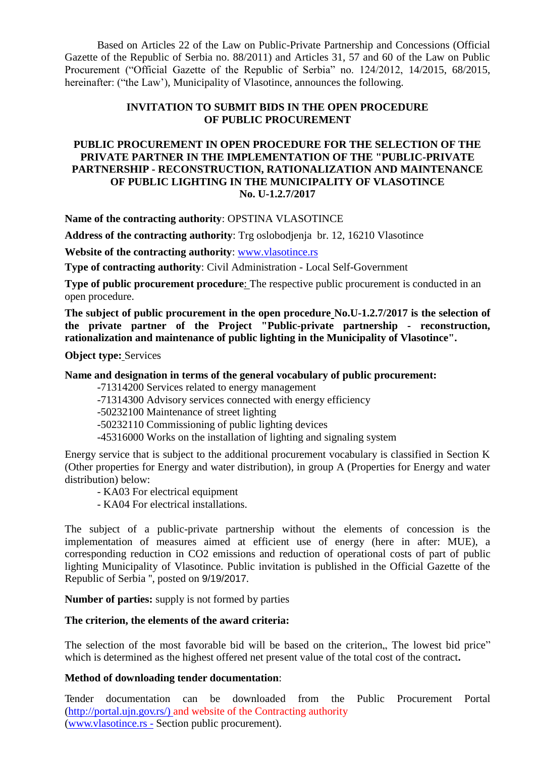Based on Articles 22 of the Law on Public-Private Partnership and Concessions (Official Gazette of the Republic of Serbia no. 88/2011) and Articles 31, 57 and 60 of the Law on Public Procurement ("Official Gazette of the Republic of Serbia" no. 124/2012, 14/2015, 68/2015, hereinafter: ("the Law"), Municipality of Vlasotince, announces the following.

# **INVITATION TO SUBMIT BIDS IN THE OPEN PROCEDURE OF PUBLIC PROCUREMENT**

# **PUBLIC PROCUREMENT IN OPEN PROCEDURE FOR THE SELECTION OF THE PRIVATE PARTNER IN THE IMPLEMENTATION OF THE "PUBLIC-PRIVATE PARTNERSHIP - RECONSTRUCTION, RATIONALIZATION AND MAINTENANCE OF PUBLIC LIGHTING IN THE MUNICIPALITY OF VLASOTINCE No. U-1.2.7/2017**

**Name of the contracting authority**: OPSTINA VLASOTINCE

**Address of the contracting authority**: Trg oslobodjenja br. 12, 16210 Vlasotince

**Website of the contracting authority**: [www.vlasotince.rs](http://www.vlasotince.rs/)

**Type of contracting authority**: Civil Administration - Local Self-Government

**Type of public procurement procedure:** The respective public procurement is conducted in an open procedure.

**The subject of public procurement in the open procedure No.U-1.2.7/2017 is the selection of the private partner of the Project "Public-private partnership - reconstruction, rationalization and maintenance of public lighting in the Municipality of Vlasotince".**

**Object type:** Services

#### **Name and designation in terms of the general vocabulary of public procurement:**

-71314200 Services related to energy management

-71314300 Advisory services connected with energy efficiency

-50232100 Maintenance of street lighting

-50232110 Commissioning of public lighting devices

-45316000 Works on the installation of lighting and signaling system

Energy service that is subject to the additional procurement vocabulary is classified in Section K (Other properties for Energy and water distribution), in group A (Properties for Energy and water distribution) below:

- KA03 For electrical equipment

- KA04 For electrical installations.

The subject of a public-private partnership without the elements of concession is the implementation of measures aimed at efficient use of energy (here in after: MUE), a corresponding reduction in CO2 emissions and reduction of operational costs of part of public lighting Municipality of Vlasotince. Public invitation is published in the Official Gazette of the Republic of Serbia '', posted on 9/19/2017.

**Number of parties:** supply is not formed by parties

#### **The criterion, the elements of the award criteria:**

The selection of the most favorable bid will be based on the criterion, The lowest bid price" which is determined as the highest offered net present value of the total cost of the contract**.**

## **Method of downloading tender documentation**:

Tender documentation can be downloaded from the Public Procurement Portal [\(http://portal.ujn.gov.rs/\) and website of the Contracting authority](http://portal.ujn.gov.rs/)%20and%20website%20of%20the%20Contracting%20authority) (www.vlasotince.rs - Section public procurement).